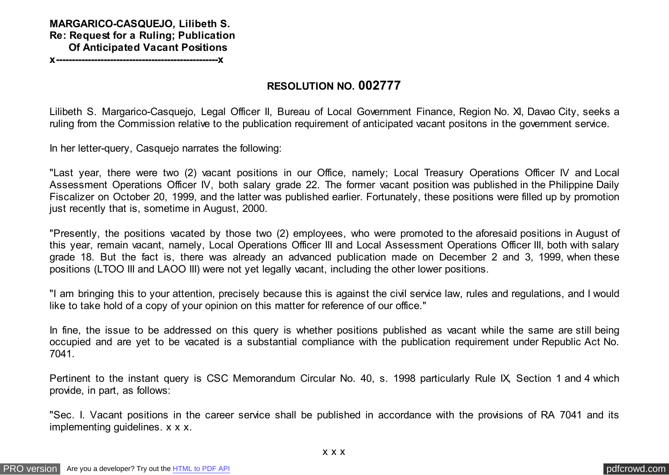## **MARGARICO-CASQUEJO, Lilibeth S. Re: Request for a Ruling; Publication Of Anticipated Vacant Positions**

**x---------------------------------------------------x**

## **RESOLUTION NO. 002777**

Lilibeth S. Margarico-Casquejo, Legal Officer II, Bureau of Local Government Finance, Region No. XI, Davao City, seeks a ruling from the Commission relative to the publication requirement of anticipated vacant positons in the government service.

In her letter-query, Casquejo narrates the following:

"Last year, there were two (2) vacant positions in our Office, namely; Local Treasury Operations Officer IV and Local Assessment Operations Officer IV, both salary grade 22. The former vacant position was published in the Philippine Daily Fiscalizer on October 20, 1999, and the latter was published earlier. Fortunately, these positions were filled up by promotion just recently that is, sometime in August, 2000.

"Presently, the positions vacated by those two (2) employees, who were promoted to the aforesaid positions in August of this year, remain vacant, namely, Local Operations Officer III and Local Assessment Operations Officer III, both with salary grade 18. But the fact is, there was already an advanced publication made on December 2 and 3, 1999, when these positions (LTOO III and LAOO III) were not yet legally vacant, including the other lower positions.

"I am bringing this to your attention, precisely because this is against the civil service law, rules and regulations, and I would like to take hold of a copy of your opinion on this matter for reference of our office."

In fine, the issue to be addressed on this query is whether positions published as vacant while the same are still being occupied and are yet to be vacated is a substantial compliance with the publication requirement under Republic Act No. 7041.

Pertinent to the instant query is CSC Memorandum Circular No. 40, s. 1998 particularly Rule IX, Section 1 and 4 which provide, in part, as follows:

"Sec. I. Vacant positions in the career service shall be published in accordance with the provisions of RA 7041 and its implementing guidelines. x x x.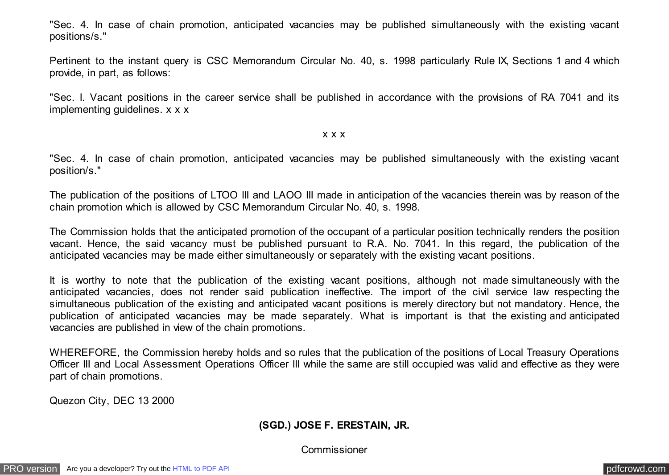"Sec. 4. In case of chain promotion, anticipated vacancies may be published simultaneously with the existing vacant positions/s."

Pertinent to the instant query is CSC Memorandum Circular No. 40, s. 1998 particularly Rule IX, Sections 1 and 4 which provide, in part, as follows:

"Sec. I. Vacant positions in the career service shall be published in accordance with the provisions of RA 7041 and its implementing guidelines. x x x

#### x x x

"Sec. 4. In case of chain promotion, anticipated vacancies may be published simultaneously with the existing vacant position/s."

The publication of the positions of LTOO III and LAOO III made in anticipation of the vacancies therein was by reason of the chain promotion which is allowed by CSC Memorandum Circular No. 40, s. 1998.

The Commission holds that the anticipated promotion of the occupant of a particular position technically renders the position vacant. Hence, the said vacancy must be published pursuant to R.A. No. 7041. In this regard, the publication of the anticipated vacancies may be made either simultaneously or separately with the existing vacant positions.

It is worthy to note that the publication of the existing vacant positions, although not made simultaneously with the anticipated vacancies, does not render said publication ineffective. The import of the civil service law respecting the simultaneous publication of the existing and anticipated vacant positions is merely directory but not mandatory. Hence, the publication of anticipated vacancies may be made separately. What is important is that the existing and anticipated vacancies are published in view of the chain promotions.

WHEREFORE, the Commission hereby holds and so rules that the publication of the positions of Local Treasury Operations Officer III and Local Assessment Operations Officer III while the same are still occupied was valid and effective as they were part of chain promotions.

Quezon City, DEC 13 2000

## **(SGD.) JOSE F. ERESTAIN, JR.**

### Commissioner